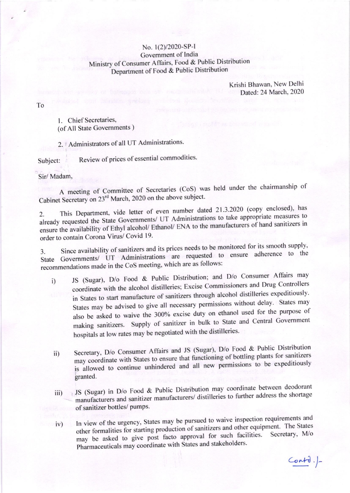## No. 1(2)/2020-SP-I Government of India Ministry of Consumer Affairs, Food & Public Distribution Department of Food & Public Distribution

Krishi Bhawan, New Delhi Dated: 24 March, 2020

To

1. Chief Secretaries, (of All State Governments)

2. | Administrators of all UT Administrations.

Review of prices of essential commodities. Subject:

Sir/Madam,

A meeting of Committee of Secretaries (CoS) was held under the chairmanship of Cabinet Secretary on 23<sup>rd</sup> March, 2020 on the above subject.

This Department, vide letter of even number dated 21.3.2020 (copy enclosed), has  $2.$ already requested the State Governments/ UT Administrations to take appropriate measures to ensure the availability of Ethyl alcohol/ Ethanol/ ENA to the manufacturers of hand sanitizers in order to contain Corona Virus/ Covid 19.

Since availability of sanitizers and its prices needs to be monitored for its smooth supply,  $3.$ State Governments/ UT Administrations are requested to ensure adherence to the recommendations made in the CoS meeting, which are as follows:

- JS (Sugar), D/o Food & Public Distribution; and D/o Consumer Affairs may  $i)$ coordinate with the alcohol distilleries; Excise Commissioners and Drug Controllers in States to start manufacture of sanitizers through alcohol distilleries expeditiously. States may be advised to give all necessary permissions without delay. States may also be asked to waive the 300% excise duty on ethanol used for the purpose of making sanitizers. Supply of sanitizer in bulk to State and Central Government hospitals at low rates may be negotiated with the distilleries.
- Secretary, D/o Consumer Affairs and JS (Sugar), D/o Food & Public Distribution  $\overline{11}$ may coordinate with States to ensure that functioning of bottling plants for sanitizers is allowed to continue unhindered and all new permissions to be expeditiously granted.
- JS (Sugar) in D/o Food & Public Distribution may coordinate between deodorant manufacturers and sanitizer manufacturers/ distilleries to further address the shortage iii) of sanitizer bottles/ pumps.
- In view of the urgency, States may be pursued to waive inspection requirements and other formalities for starting production of sanitizers and other equipment. The States  $iv)$ may be asked to give post facto approval for such facilities. Secretary, M/o Pharmaceuticals may coordinate with States and stakeholders.

 $Contd.$